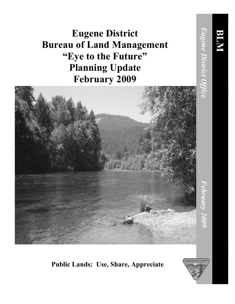**Eugene District Bureau of Land Management "Eye to the Future" Planning Update February 2009**



## **Public Lands: Use, Share, Appreciate**

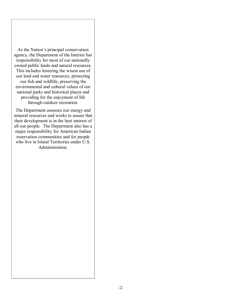As the Nation's principal conservation agency, the Department of the Interior has responsibility for most of our nationally owned public lands and natural resources. This includes fostering the wisest use of our land and water resources, protecting our fish and wildlife, preserving the environmental and cultural values of our national parks and historical places and providing for the enjoyment of life through outdoor recreation.

The Department assesses our energy and mineral resources and works to assure that their development is in the best interest of all our people. The Department also has a major responsibility for American Indian reservation communities and for people who live in Island Territories under U.S. Administration.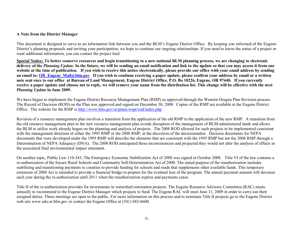## **A Note from the District Manager**

This document is designed to serve as an information link between you and the BLM's Eugene District Office. By keeping you informed of the Eugene District's planning proposals and inviting your participation, we hope to continue our ongoing relationships. If you need to know the status of a project or want additional information, you can contact the project lead.

Special Notice: To better conserve resources and begin transitioning to a new national BLM planning process, we are changing to electronic delivery of the Planning Update. In the future, we will be sending an email notification and link to the update so that you may access it from our website at the time of publication. If you wish to receive this notice electronically, please provide our office with your email address by sending an email to: OR Eugene Mail@blm.gov If you wish to continue receiving a paper update, please confirm your address by email or a written note sent ence to our office at Bureau of Land Management, Eugene District Office, P.O. Bo 10226, Eugene, OR 97440. If you currently receive a paper update and choose not to reply, we will remove your name from the distribution list. This change will be effective with the next *Planning Update* **in June 2009.**

We have begun to implement the Eugene District Resource Management Plan (RMP) as approved through the Western Oregon Plan Revision process. The Record of Decision (ROD) on the Plan was approved and signed on December 30, 2008. Copies of the RMP are available at the Eugene District Office. The website for the RMP is <http://www.blm.gov/or/plans/wopr/rod/index.php>

Revision of a resource management plan involves a transition from the application of the old RMP to the application of the new RMP. A transition from the old resource management plan to the new resource management plan avoids disruption of the management of BLM-administered lands and allows the BLM to utilize work already begun on the planning and analysis of projects. The 2008 ROD allowed for such projects to be implemented consistent with the management direction of either the 1995 RMP or the 2008 RMP, at the discretion of the decisionmaker. Decision documents for NEPA documents that were developed under the 1995 RMP will describe the elements that are consistent with the 1995 RMP but not the 2008 RMP through a Determination of NEPA Adequacy (DNA). The 2008 ROD anticipated these inconsistencies and projected they would not alter the analysis of effects in the associated final environmental impact statement.

On another topic, Public Law 110343, The Emergency Economic Stabilization Act of 2008 was signed in October 2008. Title VI of the law contains a re-authorization of the Secure Rural Schools and Community Self-Determination Act of 2000. The stated purpose of the reauthorization includes stabilizing and transitioning payments to counties to provide funding for schools and roads that supplements other available funds. This temporary extension of 2008 Act is intended to provide a financial bridge to prepare for the eventual loss of the program. The annual payment amount will decrease each year during the re-authorization until 2011 when the reauthorization expires and payments cease.

Title II of the re-authorization provides for investments in watershed restoration projects. The Eugene Resource Advisory Committee (RAC) meets annually to recommend to the Eugene District Manager which projects to fund. The Eugene RAC will meet June 11, 2009 in order to carryout their assigned duties. These meetings are open to the public. For more information on this process and to nominate Title II projects go to the Eugene District web site www.edo.or.blm.gov or contact the Eugene Office at  $(541)$  683-6600.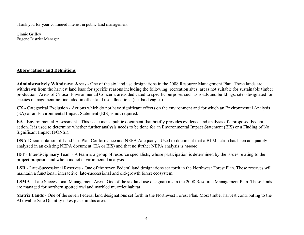Thank you for your continued interest in public land management.

Ginnie Grilley Eugene District Manager

## **Abbreviations and Definitions**

Administratively Withdrawn Areas - One of the six land use designations in the 2008 Resource Management Plan. These lands are withdrawn from the harvest land base for specific reasons including the following: recreation sites, areas not suitable for sustainable timber production, Areas of Critical Environmental Concern, areas dedicated to specific purposes such as roads and buildings, sites designated for species management not included in other land use allocations (i.e. bald eagles).

CX - Categorical Exclusion - Actions which do not have significant effects on the environment and for which an Environmental Analysis (EA) or an Environmental Impact Statement (EIS) is not required.

**EA** - Environmental Assessment - This is a concise public document that briefly provides evidence and analysis of a proposed Federal action. It is used to determine whether further analysis needs to be done for an Environmental Impact Statement (EIS) or a Finding of No Significant Impact (FONSI).

**DNA-Documentation of Land Use Plan Conformance and NEPA Adequacy - Used to document that a BLM action has been adequately** analyzed in an existing NEPA document (EA or EIS) and that no further NEPA analysis is needed.

**IDT** - Interdisciplinary Team - A team is a group of resource specialists, whose participation is determined by the issues relating to the project proposal, and who conduct environmental analysis.

LSR - Late-Successional Reserves - One of the seven Federal land designations set forth in the Northwest Forest Plan. These reserves will maintain a functional, interactive, late-successional and old-growth forest ecosystem.

**LSMA** – Late Successional Management Area - One of the six land use designations in the 2008 Resource Management Plan. These lands are managed for northern spotted owl and marbled murrelet habitat.

Matrix Lands - One of the seven Federal land designations set forth in the Northwest Forest Plan. Most timber harvest contributing to the Allowable Sale Quantity takes place in this area.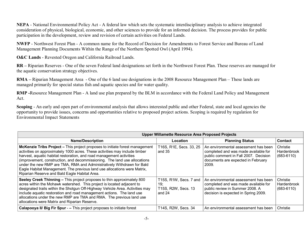**NEPA** - National Environmental Policy Act - A federal law which sets the systematic interdisciplinary analysis to achieve integrated consideration of physical, biological, economic, and other sciences to provide for an informed decision. The process provides for public participation in the development, review and revision of certain activities on Federal Lands.

**NWFP** - Northwest Forest Plan - A common name for the Record of Decision for Amendments to Forest Service and Bureau of Land Management Planning Documents Within the Range of the Northern Spotted Owl (April 1994).

O&C Lands - Revested Oregon and California Railroad Lands.

**RR** – Riparian Reserves - One of the seven Federal land designations set forth in the Northwest Forest Plan. These reserves are managed for the aquatic conservation strategy objectives.

**RMA** – Riparian Management Area - One of the 6 land use designations in the 2008 Resource Management Plan – These lands are managed primarily for special status fish and aquatic species and for water quality.

**RMP** -Resource Management Plan - A land use plan prepared by the BLM in accordance with the Federal Land Policy and Management Act.

**Scoping** - An early and open part of environmental analysis that allows interested public and other Federal, state and local agencies the opportunity to provide issues, concerns and opportunities relative to proposed project actions. Scoping is required by regulation for Environmental Impact Statements

| <b>Upper Willamette Resource Area Proposed Projects</b>                                                                                                                                                                                                                                                                                                                                                                                                                                                                 |                                                                |                                                                                                                                                                      |                                           |  |
|-------------------------------------------------------------------------------------------------------------------------------------------------------------------------------------------------------------------------------------------------------------------------------------------------------------------------------------------------------------------------------------------------------------------------------------------------------------------------------------------------------------------------|----------------------------------------------------------------|----------------------------------------------------------------------------------------------------------------------------------------------------------------------|-------------------------------------------|--|
| <b>Name/Description</b>                                                                                                                                                                                                                                                                                                                                                                                                                                                                                                 | Location                                                       | <b>Planning Status</b>                                                                                                                                               | <b>Contact</b>                            |  |
| McKenzie Tribs Project - This project proposes to initiate forest management<br>activities on approximately 1000 acres. These activities may include timber<br>harvest, aquatic habitat restoration, and road management activities<br>(improvement, construction, and decommissioning. The land use allocations<br>under the new RMP are TMA, RMA and Administratively Withdrawn for Bald<br>Eagle Habitat Management. The previous land use allocations were Matrix,<br>Riparian Reserve and Bald Eagle Habitat Area. | T16S, R1E, Secs. 33, 25<br>and $35$                            | An environmental assessment has been<br>completed and was made available for<br>public comment in Fall 2007. Decision<br>documents are expected in February<br>2009. | Christie<br>Hardenbrook<br>$(683 - 6110)$ |  |
| Seeley Creek Thinning – This project proposes to thin approximately 800<br>acres within the Mohawk watershed. This project is located adjacent to<br>designated trails within the Shotgun Off-Highway Vehicle Area. Activities may<br>include aquatic restoration and road management actions. The land use<br>allocations under the new RMP are TMA and RMA. The previous land use<br>allocations were Matrix and Riparian Reserve.                                                                                    | T15S, R1W, Secs. 7 and<br>19:<br>T15S, R2W, Secs. 13<br>and 24 | An environmental assessment has been<br>completed and was made available for<br>public review in Summer 2008. A<br>decision is expected in Spring 2009.              | Christie<br>Hardenbrook<br>$(683 - 6110)$ |  |
| Calapooya II/ Big Fir Spur - - This project proposes to initiate forest                                                                                                                                                                                                                                                                                                                                                                                                                                                 | T14S, R2W, Secs. 34                                            | An environmental assessment has been                                                                                                                                 | Christie                                  |  |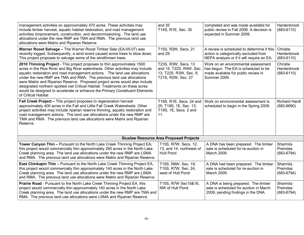| management activities on approximately 470 acres. These activities may<br>include timber harvest, aquatic habitat restoration, and road management<br>activities (improvement, construction, and decommissioning. The land use<br>allocations under the new RMP are TMA and RMA. The previous land use<br>allocations were Matrix and Riparian Reserve.                                                                                                                                                                                                                            | and 35<br>T14S, R1E, Sec. 35                                                                   | completed and was made available for<br>public review in Fall 2008. A decision is<br>expected in Summer 2009.                      | Hardenbrook<br>$(683 - 6110)$             |
|------------------------------------------------------------------------------------------------------------------------------------------------------------------------------------------------------------------------------------------------------------------------------------------------------------------------------------------------------------------------------------------------------------------------------------------------------------------------------------------------------------------------------------------------------------------------------------|------------------------------------------------------------------------------------------------|------------------------------------------------------------------------------------------------------------------------------------|-------------------------------------------|
| Warner Roost Salvage - The Warner Roost Timber Sale (EA-05-07) was<br>recently logged. Subsequently, a wind event caused some trees to blow down.<br>This project proposes to salvage some of the windthrown trees.                                                                                                                                                                                                                                                                                                                                                                | T15S, R2W, Secs. 21<br>and 29                                                                  | A review is scheduled to determine if this<br>action is categorically excluded from<br>NEPA analysis or if it will require an EA.  | Christie<br>Hardenbrook<br>$(683 - 6110)$ |
| 2010 Thinning Project - This project proposes to thin approximately 1500<br>acres in the Row River and Big River watersheds. Other activities may include<br>aquatic restoration and road management actions. The land use allocations<br>under the new RMP are TMA and RMA. The previous land use allocations<br>were Matrix and Riparian Reserve. Proposed project acres would also include<br>designated northern spotted owl Critical Habitat. Treatments on these acres<br>would be designed to accelerate or enhance the Primary Constituent Elements<br>of Critical Habitat | T23S, R3W, Secs. 13<br>and 15; T22S. R4W, Sec.<br>13; T22S. R3W, Sec. 9;<br>T21S, R2W, Sec. 27 | Work on an environmental assessment<br>has begun. The EA is scheduled to be<br>made available for public review in<br>Summer 2009. | Christie<br>Hardenbrook<br>$(683 - 6110)$ |
| Fall Creek Project - This project proposes to regeneration harvest<br>approximately 400 acres in the Fall and Little Fall Creek Watersheds. Other<br>project activities may include riparian reserve thinning, aquatic restoration and<br>road management actions. The land use allocations under the new RMP are<br>TMA and RMA. The previous land use allocations were Matrix and Riparian<br>Reserve.                                                                                                                                                                           | T18S, R1E, Secs. 24 and<br>25; T19S, 1E, Sec. 13;<br>T19S, 1E, Secs. 2 and<br>11.              | Work on environmental assessment is<br>scheduled to begin in the Spring 2009.                                                      | <b>Richard Hardt</b><br>$(683 - 6690)$    |
|                                                                                                                                                                                                                                                                                                                                                                                                                                                                                                                                                                                    | <b>Siuslaw Resource Area Proposed Projects</b>                                                 |                                                                                                                                    |                                           |
| Tower Canyon Thin - Pursuant to the North Lake Creek Thinning Project EA,<br>this project would commercially thin approximately 290 acres in the North Lake<br>Creek planning area. The land use allocations under the new RMP are LSMA<br>and RMA. The previous land use allocations were Matrix and Riparian Reserve.                                                                                                                                                                                                                                                            | T15S, R7W, Secs. 12,<br>13, and 14, northwest of<br><b>Hult Pond</b>                           | A DNA has been prepared. The timber<br>sale is scheduled for re-auction in<br>March 2009.                                          | Sharmila<br>Premdas<br>$(683 - 6794)$     |
| <b>East Chinkapin Thin - Pursuant to the North Lake Creek Thinning Project EA,</b><br>this project would commercially thin approximately 140 acres in the North Lake<br>Creek planning area. The land use allocations under the new RMP are LSMA<br>and RMA. The previous land use allocations were Matrix and Riparian Reserve.                                                                                                                                                                                                                                                   | T15S, R6W, Sec. 19;<br>T15S, R7W, Sec. 24,<br>west of Hult Pond                                | A DNA had been prepared. The timber<br>sale is scheduled for re-auction in<br>March 2009.                                          | Sharmila<br>Premdas<br>$(683 - 6794)$     |
| <b>Prairie Road</b> - Pursuant to the North Lake Creek Thinning Project EA, this<br>project would commercially thin approximately 140 acres in the North Lake<br>Creek planning area. The land use allocations under the new RMP are TMA and<br>RMA. The previous land use allocations were LSMA and Riparian Reserve.                                                                                                                                                                                                                                                             | T15S, R7W Sec15&16,<br>NW of Hult Pond                                                         | A DNA is being prepared. The timber<br>sale is scheduled for auction in March<br>2009, pending findings in the DNA.                | Sharmila<br>Premdas<br>$(683 - 6794)$     |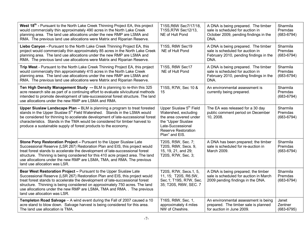| West 18 <sup>th</sup> - Pursuant to the North Lake Creek Thinning Project EA, this project<br>would commercially thin approximately 490 acres in the North Lake Creek<br>planning area. The land use allocations under the new RMP are LSMA and<br>RMA. The previous land use allocations were Matrix and Riparian Reserve.                                                                                                       | T15S, R6W Sec7/17/18,<br>T15S, R7W Sec12/13,<br>NE of Hult Pond                                                                                                                  | A DNA is being prepared. The timber<br>sale is scheduled for auction in<br>October 2009, pending findings in the<br>DNA.  | Sharmila<br>Premdas<br>$(683 - 6794)$ |
|-----------------------------------------------------------------------------------------------------------------------------------------------------------------------------------------------------------------------------------------------------------------------------------------------------------------------------------------------------------------------------------------------------------------------------------|----------------------------------------------------------------------------------------------------------------------------------------------------------------------------------|---------------------------------------------------------------------------------------------------------------------------|---------------------------------------|
| Liebo Canyon - Pursuant to the North Lake Creek Thinning Project EA, this<br>project would commercially thin approximately 85 acres in the North Lake Creek<br>planning area. The land use allocations under the new RMP are LSMA and<br>RMA. The previous land use allocations were Matrix and Riparian Reserve.                                                                                                                 | T15S, R6W Sec19<br>NE of Hult Pond                                                                                                                                               | A DNA is being prepared. The timber<br>sale is scheduled for auction in<br>February 2010, pending findings in the<br>DNA. | Sharmila<br>Premdas<br>$(683 - 6794)$ |
| Trip West - Pursuant to the North Lake Creek Thinning Project EA, this project<br>would commercially thin approximately 415 acres in the North Lake Creek<br>planning area. The land use allocations under the new RMP are LSMA and<br>RMA. The previous land use allocations were Matrix and Riparian Reserve.                                                                                                                   | T15S, R6W Sec17<br>NE of Hult Pond                                                                                                                                               | A DNA is being prepared. The timber<br>sale is scheduled for auction in<br>February 2010, pending findings in the<br>DNA. | Sharmila<br>Premdas<br>$(683 - 6794)$ |
| Ten High Density Management Study -- BLM is planning to re-thin this 325<br>acre research site as part of a continuing effort to evaluate silvicultural methods<br>intended to promote development of late-successional forest structure. The land<br>use allocations under the new RMP are LSMA and RMA.                                                                                                                         | T15S, R7W, Sec 10 &<br>15                                                                                                                                                        | An environmental assessment is<br>currently being prepared.                                                               | Sharmila<br>Premdas<br>$(683 - 6794)$ |
| Upper Siuslaw Landscape Plan - BLM is planning a program to treat forested<br>stands in the Upper Siuslaw 5 <sup>th</sup> Field Watershed. Stands in the LSMA would<br>be considered for thinning to accelerate development of late-successional forest<br>characteristics. Stands in the TMA would be considered for timber harvest to<br>produce a sustainable supply of forest products to the economy.                        | Upper Siuslaw 5 <sup>th</sup> Field<br>Watershed, excluding<br>the area covered under<br>the "Upper Siuslaw<br>Late-Successional<br><b>Reserve Restoration</b><br>Plan" and EIS. | The EA was released for a 30 day<br>public comment period on December<br>10, 2008.                                        | Sharmila<br>Premdas<br>$(683 - 6794)$ |
| Stone Pony Restoration Project - Pursuant to the Upper Siuslaw Late<br>Successional Reserve (LSR 267) Restoration Plan and EIS, this project would<br>treat forest stands to accelerate the development of late-successional forest<br>structure. Thinning is being considered for this 410 acre project area. The land<br>use allocations under the new RMP are LSMA, TMA, and RMA. The previous<br>land use allocation was LSR. | T20S, R5W, Sec. 7;<br>T20S, R6W, Secs. 9,<br>15, 19, 21, and 29;<br>T20S, R7W, Sec. 3;                                                                                           | A DNA has been prepared; the timber<br>sale is scheduled for re-auction in<br>March 2009.                                 | Sharmila<br>Premdas<br>$(683 - 6794)$ |
| Bear West Restoration Project - Pursuant to the Upper Siuslaw Late<br>Successional Reserve (LSR 267) Restoration Plan and EIS, this project would<br>treat forest stands to accelerate the development of late-successional forest<br>structure. Thinning is being considered on approximately 750 acres. The land<br>use allocations under the new RMP are LSMA, TMA and RMA. . The previous<br>land use allocation was LSR.     | T20S, R7W, Secs.1, 5,<br>11, 15; T20S, R6.5W,<br>Sec.1; T19S, R7W, Sec.<br>35; T20S, R6W, SEC. 7                                                                                 | A DNA is being prepared; the timber<br>sale is scheduled for auction in March<br>2009 pending findings in the DNA.        | Sharmila<br>Premdas<br>$(683 - 6794)$ |
| Templeton Road Salvage - A wind event during the Fall of 2007 caused a 10<br>acre stand to blow down. Salvage harvest is being considered for this area.<br>The land use allocation is TMA.                                                                                                                                                                                                                                       | T16S, R6W, Sec. 1,<br>approximately 4 miles<br>NW of Cheshire.                                                                                                                   | An environmental assessment is being<br>prepared. The timber sale is planned<br>for auction in June 2009.                 | Janet<br>Zentner<br>$(683 - 6795)$    |